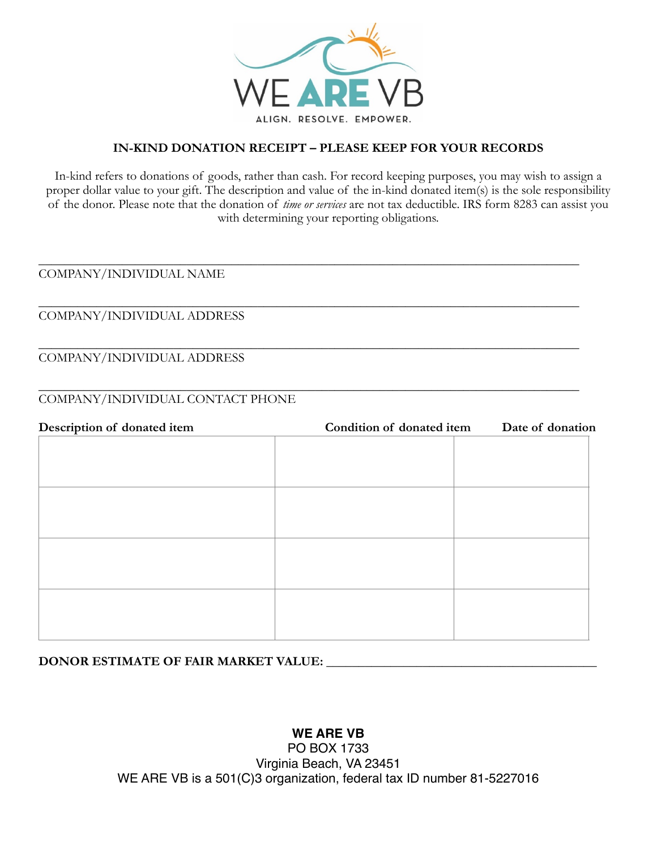

## **IN-KIND DONATION RECEIPT – PLEASE KEEP FOR YOUR RECORDS**

In-kind refers to donations of goods, rather than cash. For record keeping purposes, you may wish to assign a proper dollar value to your gift. The description and value of the in-kind donated item(s) is the sole responsibility of the donor. Please note that the donation of *time or services* are not tax deductible. IRS form 8283 can assist you with determining your reporting obligations.

### \_\_\_\_\_\_\_\_\_\_\_\_\_\_\_\_\_\_\_\_\_\_\_\_\_\_\_\_\_\_\_\_\_\_\_\_\_\_\_\_\_\_\_\_\_\_\_\_\_\_\_\_\_\_\_\_\_\_\_\_\_\_\_\_\_\_\_\_\_\_\_\_\_\_\_\_\_\_\_\_\_\_\_\_ COMPANY/INDIVIDUAL NAME

### \_\_\_\_\_\_\_\_\_\_\_\_\_\_\_\_\_\_\_\_\_\_\_\_\_\_\_\_\_\_\_\_\_\_\_\_\_\_\_\_\_\_\_\_\_\_\_\_\_\_\_\_\_\_\_\_\_\_\_\_\_\_\_\_\_\_\_\_\_\_\_\_\_\_\_\_\_\_\_\_\_\_\_\_ COMPANY/INDIVIDUAL ADDRESS

\_\_\_\_\_\_\_\_\_\_\_\_\_\_\_\_\_\_\_\_\_\_\_\_\_\_\_\_\_\_\_\_\_\_\_\_\_\_\_\_\_\_\_\_\_\_\_\_\_\_\_\_\_\_\_\_\_\_\_\_\_\_\_\_\_\_\_\_\_\_\_\_\_\_\_\_\_\_\_\_\_\_\_\_ COMPANY/INDIVIDUAL ADDRESS

### \_\_\_\_\_\_\_\_\_\_\_\_\_\_\_\_\_\_\_\_\_\_\_\_\_\_\_\_\_\_\_\_\_\_\_\_\_\_\_\_\_\_\_\_\_\_\_\_\_\_\_\_\_\_\_\_\_\_\_\_\_\_\_\_\_\_\_\_\_\_\_\_\_\_\_\_\_\_\_\_\_\_\_\_ COMPANY/INDIVIDUAL CONTACT PHONE

| Description of donated item | Condition of donated item | Date of donation |
|-----------------------------|---------------------------|------------------|
|                             |                           |                  |
|                             |                           |                  |
|                             |                           |                  |
|                             |                           |                  |
|                             |                           |                  |
|                             |                           |                  |
|                             |                           |                  |
|                             |                           |                  |
|                             |                           |                  |
|                             |                           |                  |
|                             |                           |                  |

**DONOR ESTIMATE OF FAIR MARKET VALUE:** \_\_\_\_\_\_\_\_\_\_\_\_\_\_\_\_\_\_\_\_\_\_\_\_\_\_\_\_\_\_\_\_\_\_\_\_\_\_\_\_\_\_

# **WE ARE VB**

PO BOX 1733 Virginia Beach, VA 23451 WE ARE VB is a 501(C)3 organization, federal tax ID number 81-5227016